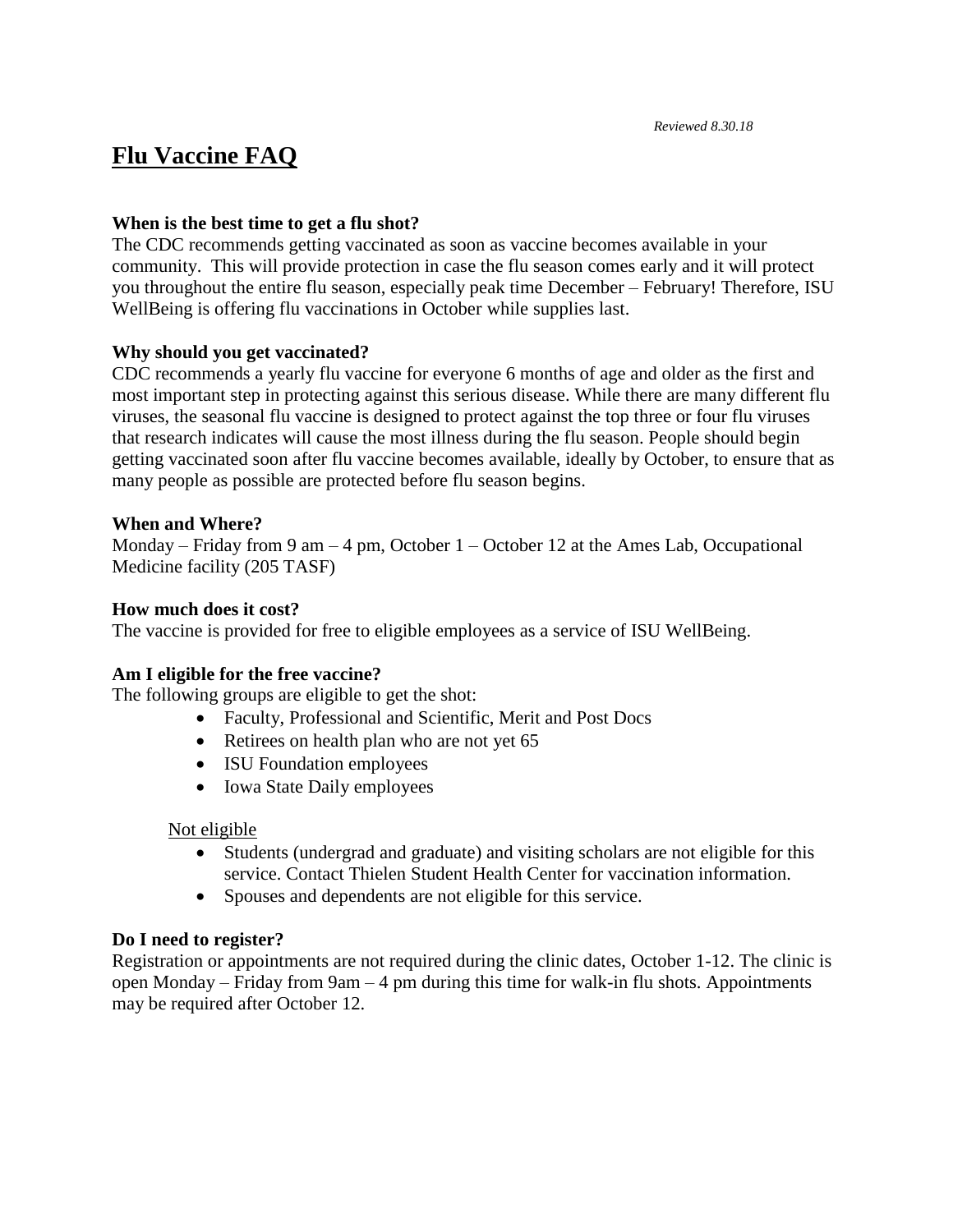# **Flu Vaccine FAQ**

### **When is the best time to get a flu shot?**

The CDC recommends getting vaccinated as soon as vaccine becomes available in your community. This will provide protection in case the flu season comes early and it will protect you throughout the entire flu season, especially peak time December – February! Therefore, ISU WellBeing is offering flu vaccinations in October while supplies last.

## **Why should you get vaccinated?**

CDC recommends a yearly flu vaccine for everyone 6 months of age and older as the first and most important step in protecting against this serious disease. While there are many different flu viruses, the seasonal flu vaccine is designed to protect against the top three or four flu viruses that research indicates will cause the most illness during the flu season. People should begin getting vaccinated soon after flu vaccine becomes available, ideally by October, to ensure that as many people as possible are protected before flu season begins.

### **When and Where?**

Monday – Friday from 9 am – 4 pm, October  $1$  – October 12 at the Ames Lab, Occupational Medicine facility (205 TASF)

## **How much does it cost?**

The vaccine is provided for free to eligible employees as a service of ISU WellBeing.

### **Am I eligible for the free vaccine?**

The following groups are eligible to get the shot:

- Faculty, Professional and Scientific, Merit and Post Docs
- Retirees on health plan who are not yet 65
- ISU Foundation employees
- Iowa State Daily employees

### Not eligible

- Students (undergrad and graduate) and visiting scholars are not eligible for this service. Contact Thielen Student Health Center for vaccination information.
- Spouses and dependents are not eligible for this service.

## **Do I need to register?**

Registration or appointments are not required during the clinic dates, October 1-12. The clinic is open Monday – Friday from 9am – 4 pm during this time for walk-in flu shots. Appointments may be required after October 12.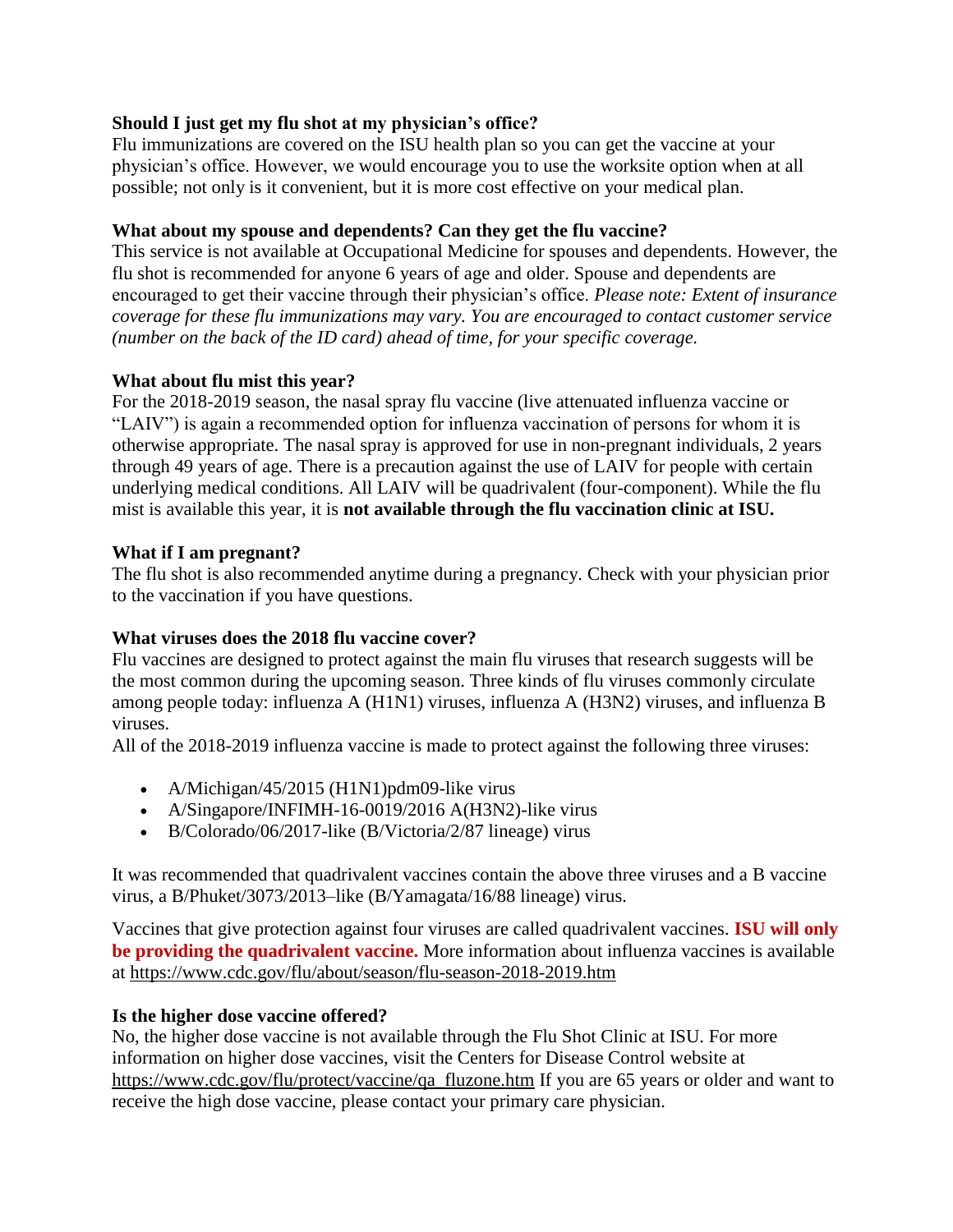## **Should I just get my flu shot at my physician's office?**

Flu immunizations are covered on the ISU health plan so you can get the vaccine at your physician's office. However, we would encourage you to use the worksite option when at all possible; not only is it convenient, but it is more cost effective on your medical plan.

## **What about my spouse and dependents? Can they get the flu vaccine?**

This service is not available at Occupational Medicine for spouses and dependents. However, the flu shot is recommended for anyone 6 years of age and older. Spouse and dependents are encouraged to get their vaccine through their physician's office. *Please note: Extent of insurance coverage for these flu immunizations may vary. You are encouraged to contact customer service (number on the back of the ID card) ahead of time, for your specific coverage.*

## **What about flu mist this year?**

For the 2018-2019 season, the nasal spray flu vaccine (live attenuated influenza vaccine or "LAIV") is again a recommended option for influenza vaccination of persons for whom it is otherwise appropriate. The nasal spray is approved for use in non-pregnant individuals, 2 years through 49 years of age. There is a precaution against the use of LAIV for people with certain underlying medical conditions. All LAIV will be quadrivalent (four-component). While the flu mist is available this year, it is **not available through the flu vaccination clinic at ISU.** 

## **What if I am pregnant?**

The flu shot is also recommended anytime during a pregnancy. Check with your physician prior to the vaccination if you have questions.

## **What viruses does the 2018 flu vaccine cover?**

Flu vaccines are designed to protect against the main flu viruses that research suggests will be the most common during the upcoming season. Three kinds of flu viruses commonly circulate among people today: influenza A (H1N1) viruses, influenza A (H3N2) viruses, and influenza B viruses.

All of the 2018-2019 influenza vaccine is made to protect against the following three viruses:

- A/Michigan/45/2015 (H1N1)pdm09-like virus
- A/Singapore/INFIMH-16-0019/2016 A(H3N2)-like virus
- B/Colorado/06/2017-like (B/Victoria/2/87 lineage) virus

It was recommended that quadrivalent vaccines contain the above three viruses and a B vaccine virus, a B/Phuket/3073/2013–like (B/Yamagata/16/88 lineage) virus.

Vaccines that give protection against four viruses are called quadrivalent vaccines. **ISU will only be providing the quadrivalent vaccine.** More information about influenza vaccines is available at<https://www.cdc.gov/flu/about/season/flu-season-2018-2019.htm>

## **Is the higher dose vaccine offered?**

No, the higher dose vaccine is not available through the Flu Shot Clinic at ISU. For more information on higher dose vaccines, visit the Centers for Disease Control website at [https://www.cdc.gov/flu/protect/vaccine/qa\\_fluzone.htm](https://www.cdc.gov/flu/protect/vaccine/qa_fluzone.htm) If you are 65 years or older and want to receive the high dose vaccine, please contact your primary care physician.